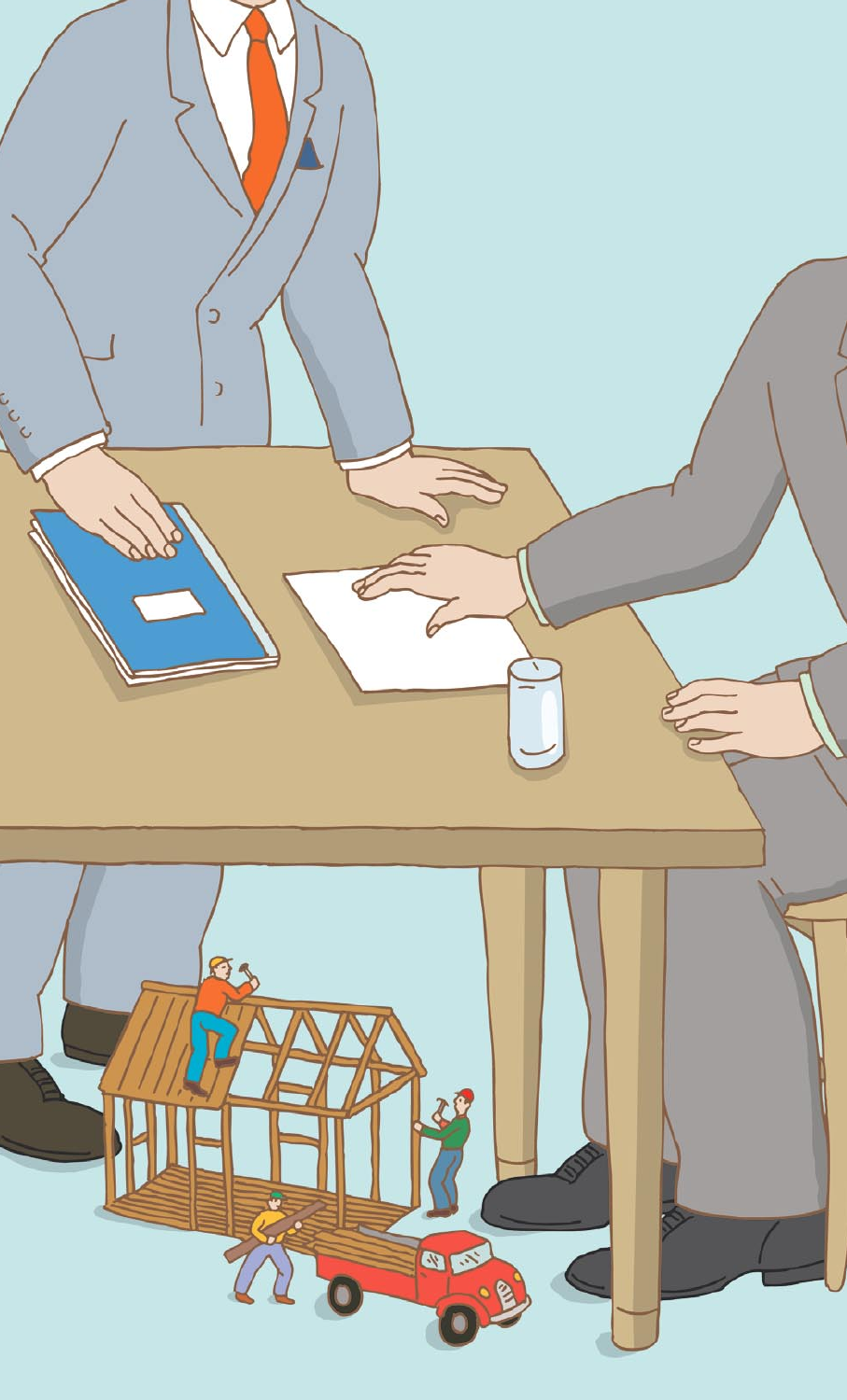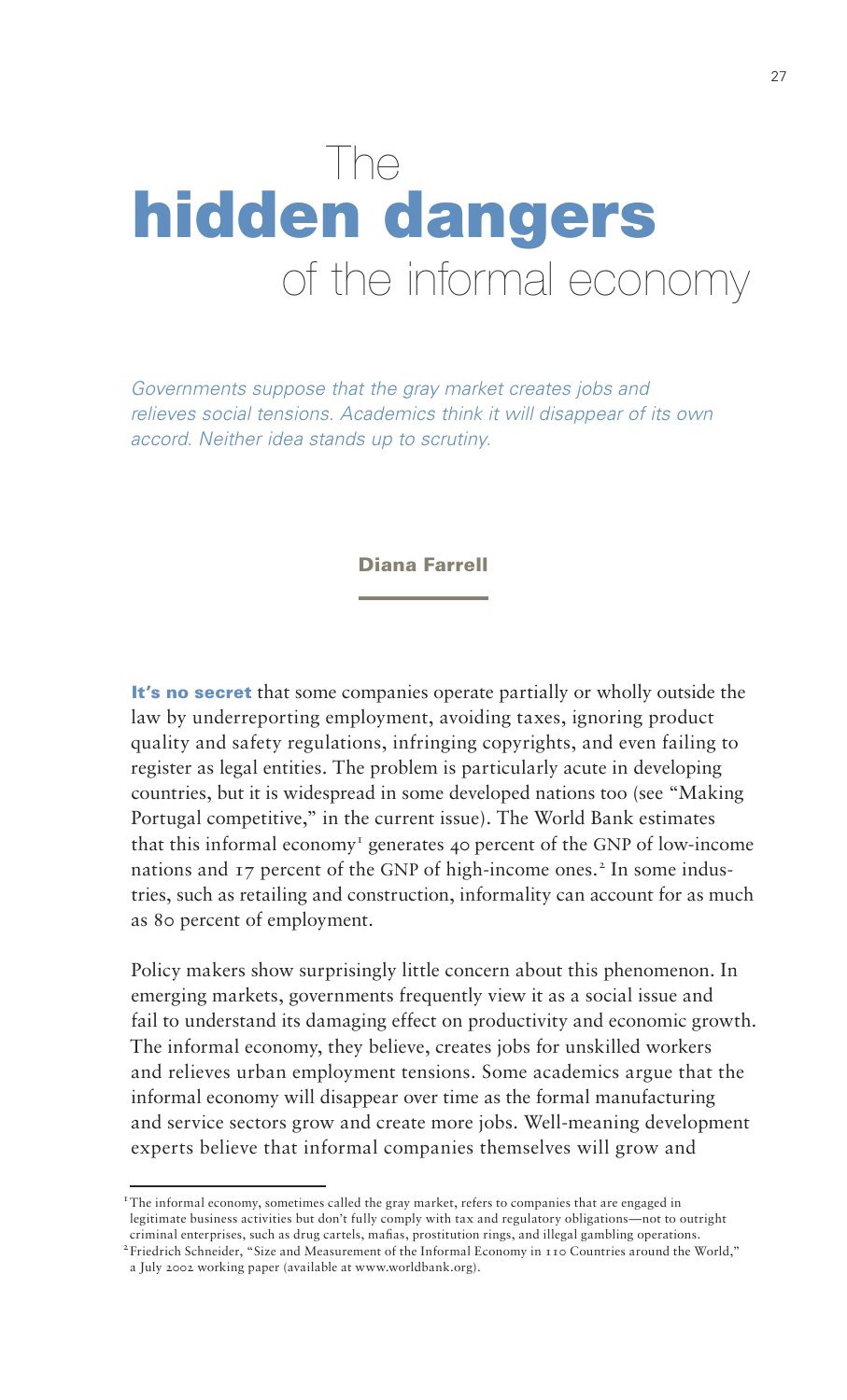# The hidden dangers of the informal economy

Governments suppose that the gray market creates jobs and relieves social tensions. Academics think it will disappear of its own accord. Neither idea stands up to scrutiny.

#### Diana Farrell

It's no secret that some companies operate partially or wholly outside the law by underreporting employment, avoiding taxes, ignoring product quality and safety regulations, infringing copyrights, and even failing to register as legal entities. The problem is particularly acute in developing countries, but it is widespread in some developed nations too (see "Making Portugal competitive," in the current issue). The World Bank estimates that this informal economy<sup>1</sup> generates 40 percent of the GNP of low-income nations and 17 percent of the GNP of high-income ones.<sup>2</sup> In some industries, such as retailing and construction, informality can account for as much as 80 percent of employment.

Policy makers show surprisingly little concern about this phenomenon. In emerging markets, governments frequently view it as a social issue and fail to understand its damaging effect on productivity and economic growth. The informal economy, they believe, creates jobs for unskilled workers and relieves urban employment tensions. Some academics argue that the informal economy will disappear over time as the formal manufacturing and service sectors grow and create more jobs. Well-meaning development experts believe that informal companies themselves will grow and

 $1$ The informal economy, sometimes called the gray market, refers to companies that are engaged in legitimate business activities but don't fully comply with tax and regulatory obligations—not to outright criminal enterprises, such as drug cartels, mafias, prostitution rings, and illegal gambling operations.

<sup>2</sup>Friedrich Schneider, "Size and Measurement of the Informal Economy in 110 Countries around the World,"

a July 2002 working paper (available at www.worldbank.org).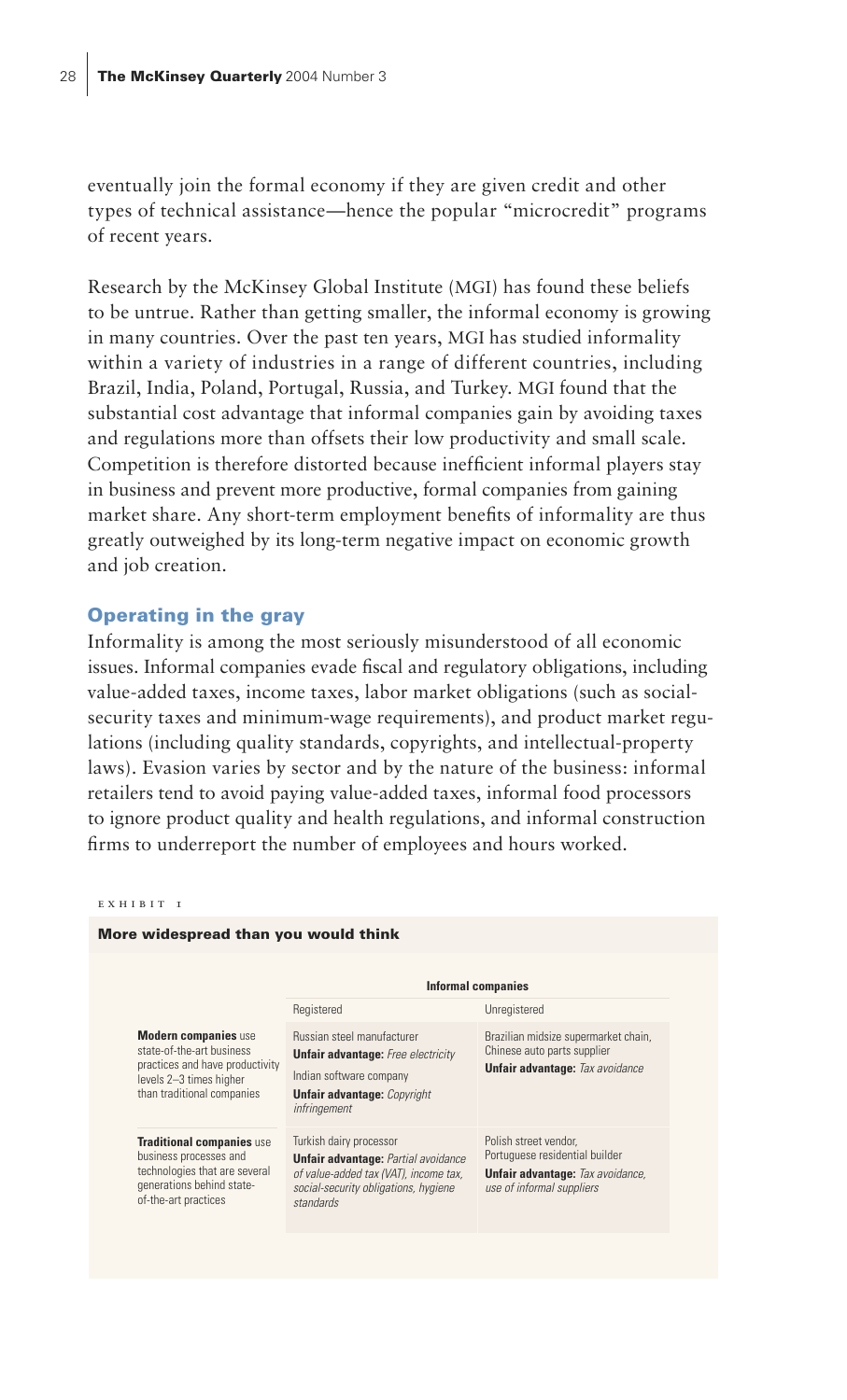eventually join the formal economy if they are given credit and other types of technical assistance—hence the popular "microcredit" programs of recent years.

Research by the McKinsey Global Institute (MGI) has found these beliefs to be untrue. Rather than getting smaller, the informal economy is growing in many countries. Over the past ten years, MGI has studied informality within a variety of industries in a range of different countries, including Brazil, India, Poland, Portugal, Russia, and Turkey. MGI found that the substantial cost advantage that informal companies gain by avoiding taxes and regulations more than offsets their low productivity and small scale. Competition is therefore distorted because inefficient informal players stay in business and prevent more productive, formal companies from gaining market share. Any short-term employment benefits of informality are thus greatly outweighed by its long-term negative impact on economic growth and job creation.

## **Operating in the gray**

Informality is among the most seriously misunderstood of all economic issues. Informal companies evade fiscal and regulatory obligations, including value-added taxes, income taxes, labor market obligations (such as socialsecurity taxes and minimum-wage requirements), and product market regulations (including quality standards, copyrights, and intellectual-property laws). Evasion varies by sector and by the nature of the business: informal retailers tend to avoid paying value-added taxes, informal food processors to ignore product quality and health regulations, and informal construction firms to underreport the number of employees and hours worked.

|                                                                                                                                                      | <b>Informal companies</b>                                                                                                                                           |                                                                                                                          |
|------------------------------------------------------------------------------------------------------------------------------------------------------|---------------------------------------------------------------------------------------------------------------------------------------------------------------------|--------------------------------------------------------------------------------------------------------------------------|
|                                                                                                                                                      | Registered                                                                                                                                                          | Unregistered                                                                                                             |
| <b>Modern companies use</b><br>state-of-the-art business<br>practices and have productivity<br>levels 2-3 times higher<br>than traditional companies | Russian steel manufacturer<br><b>Unfair advantage:</b> Free electricity<br>Indian software company<br><b>Unfair advantage: Copyright</b><br>infringement            | Brazilian midsize supermarket chain,<br>Chinese auto parts supplier<br><b>Unfair advantage:</b> Tax avoidance            |
| Traditional companies use<br>business processes and<br>technologies that are several<br>generations behind state-<br>of-the-art practices            | Turkish dairy processor<br><b>Unfair advantage: Partial avoidance</b><br>of value-added tax (VAT), income tax,<br>social-security obligations, hygiene<br>standards | Polish street vendor.<br>Portuguese residential builder<br>Unfair advantage: Tax avoidance,<br>use of informal suppliers |

#### EXHIBIT I

#### N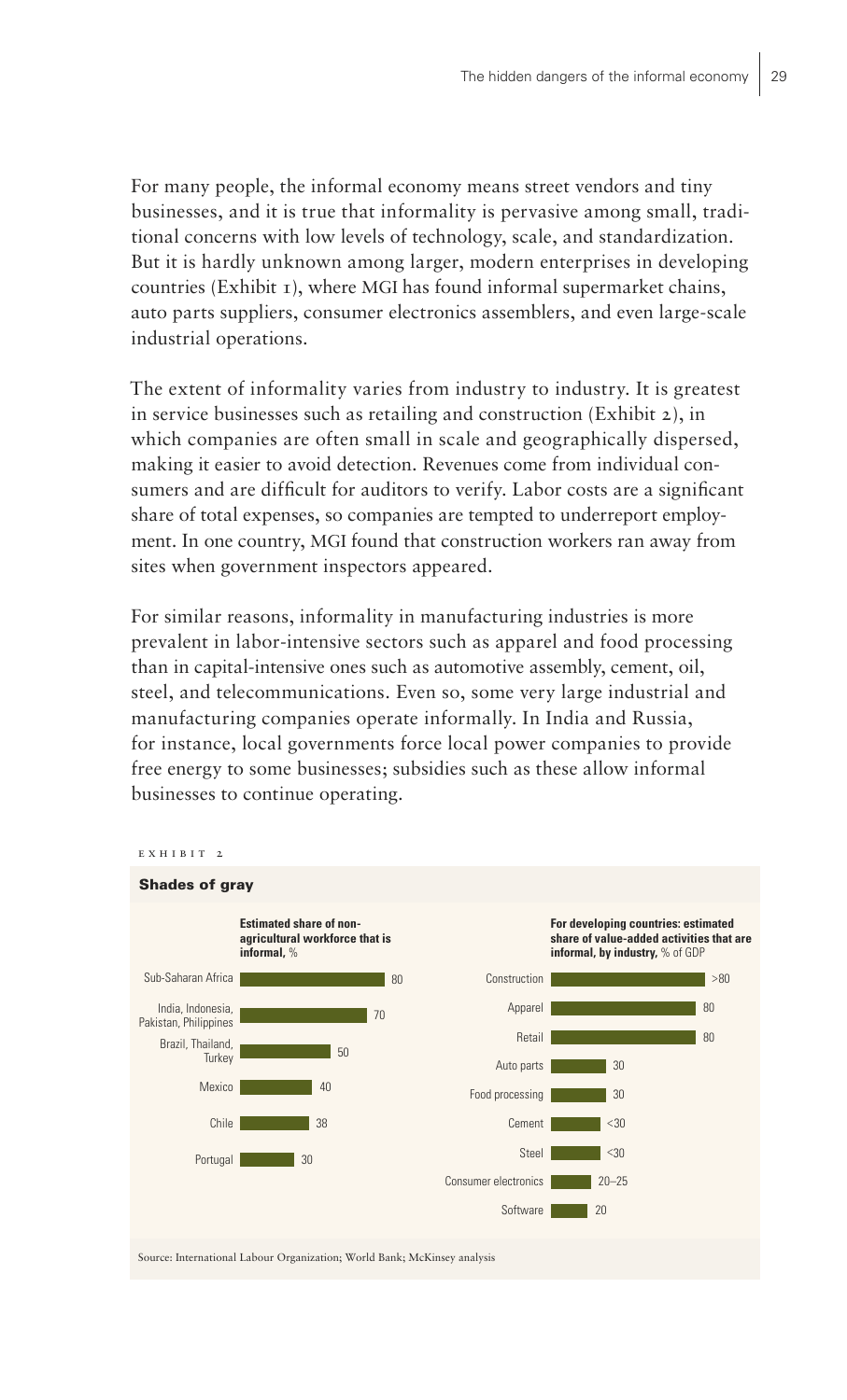For many people, the informal economy means street vendors and tiny businesses, and it is true that informality is pervasive among small, traditional concerns with low levels of technology, scale, and standardization. But it is hardly unknown among larger, modern enterprises in developing countries (Exhibit 1), where MGI has found informal supermarket chains, auto parts suppliers, consumer electronics assemblers, and even large-scale industrial operations.

The extent of informality varies from industry to industry. It is greatest in service businesses such as retailing and construction (Exhibit 2), in which companies are often small in scale and geographically dispersed, making it easier to avoid detection. Revenues come from individual consumers and are difficult for auditors to verify. Labor costs are a significant share of total expenses, so companies are tempted to underreport employment. In one country, MGI found that construction workers ran away from sites when government inspectors appeared.

For similar reasons, informality in manufacturing industries is more prevalent in labor-intensive sectors such as apparel and food processing than in capital-intensive ones such as automotive assembly, cement, oil, steel, and telecommunications. Even so, some very large industrial and manufacturing companies operate informally. In India and Russia, for instance, local governments force local power companies to provide free energy to some businesses; subsidies such as these allow informal businesses to continue operating.

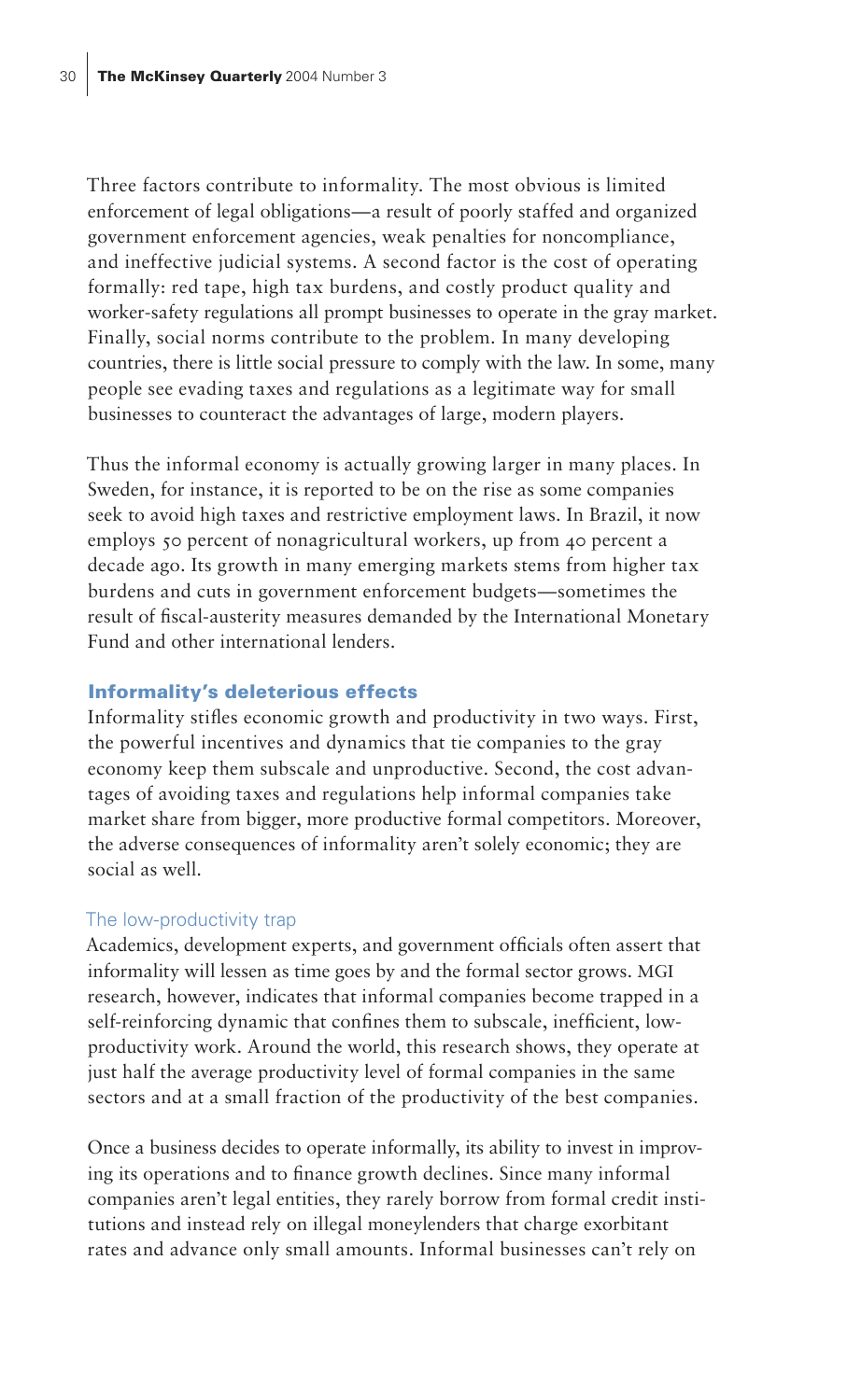Three factors contribute to informality. The most obvious is limited enforcement of legal obligations—a result of poorly staffed and organized government enforcement agencies, weak penalties for noncompliance, and ineffective judicial systems. A second factor is the cost of operating formally: red tape, high tax burdens, and costly product quality and worker-safety regulations all prompt businesses to operate in the gray market. Finally, social norms contribute to the problem. In many developing countries, there is little social pressure to comply with the law. In some, many people see evading taxes and regulations as a legitimate way for small businesses to counteract the advantages of large, modern players.

Thus the informal economy is actually growing larger in many places. In Sweden, for instance, it is reported to be on the rise as some companies seek to avoid high taxes and restrictive employment laws. In Brazil, it now employs 50 percent of nonagricultural workers, up from 40 percent a decade ago. Its growth in many emerging markets stems from higher tax burdens and cuts in government enforcement budgets—sometimes the result of fiscal-austerity measures demanded by the International Monetary Fund and other international lenders.

# Informality's deleterious effects

Informality stifles economic growth and productivity in two ways. First, the powerful incentives and dynamics that tie companies to the gray economy keep them subscale and unproductive. Second, the cost advantages of avoiding taxes and regulations help informal companies take market share from bigger, more productive formal competitors. Moreover, the adverse consequences of informality aren't solely economic; they are social as well.

# The low-productivity trap

Academics, development experts, and government officials often assert that informality will lessen as time goes by and the formal sector grows. MGI research, however, indicates that informal companies become trapped in a self-reinforcing dynamic that confines them to subscale, inefficient, lowproductivity work. Around the world, this research shows, they operate at just half the average productivity level of formal companies in the same sectors and at a small fraction of the productivity of the best companies.

Once a business decides to operate informally, its ability to invest in improving its operations and to finance growth declines. Since many informal companies aren't legal entities, they rarely borrow from formal credit institutions and instead rely on illegal moneylenders that charge exorbitant rates and advance only small amounts. Informal businesses can't rely on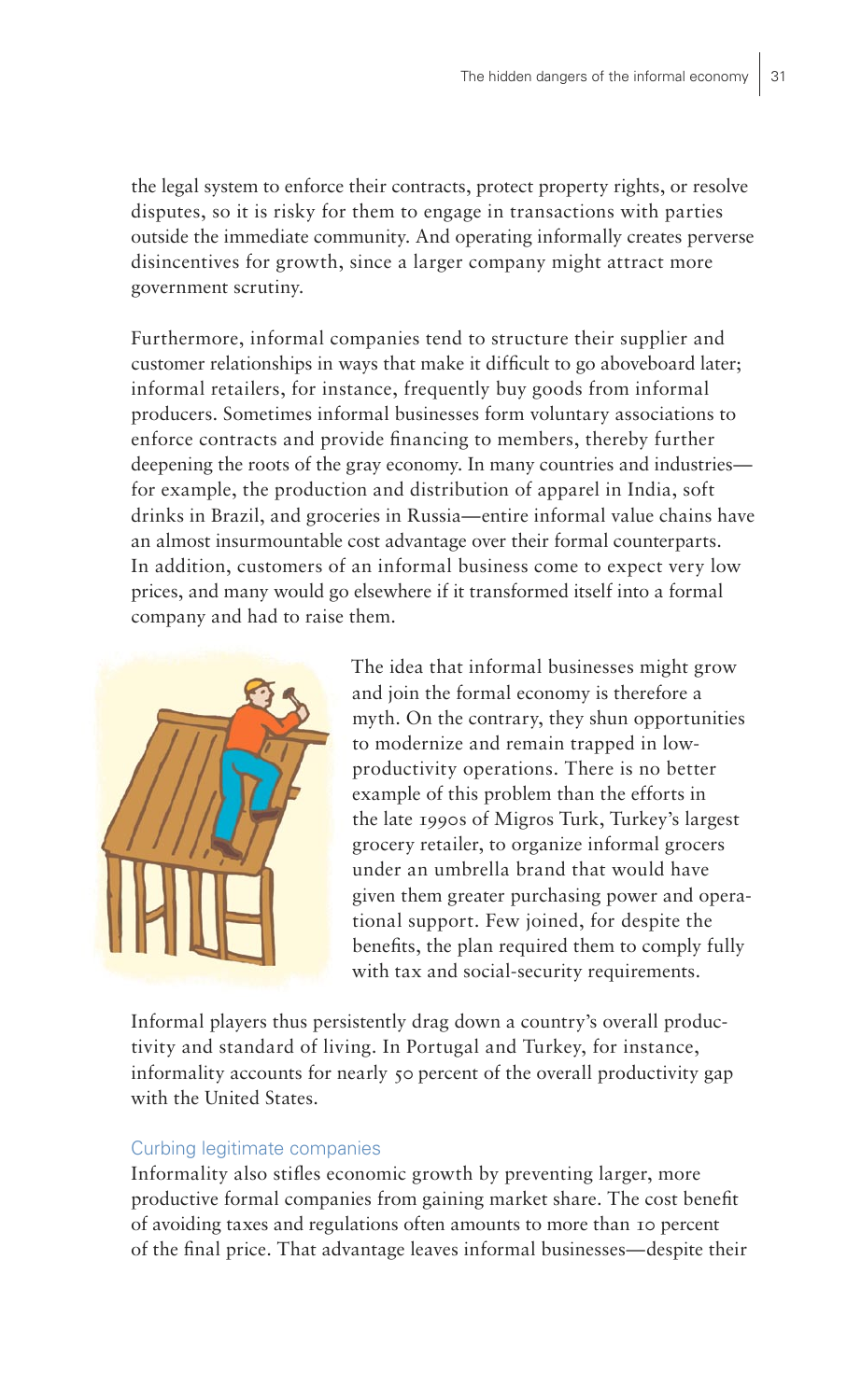the legal system to enforce their contracts, protect property rights, or resolve disputes, so it is risky for them to engage in transactions with parties outside the immediate community. And operating informally creates perverse disincentives for growth, since a larger company might attract more government scrutiny.

Furthermore, informal companies tend to structure their supplier and customer relationships in ways that make it difficult to go aboveboard later; informal retailers, for instance, frequently buy goods from informal producers. Sometimes informal businesses form voluntary associations to enforce contracts and provide financing to members, thereby further deepening the roots of the gray economy. In many countries and industries for example, the production and distribution of apparel in India, soft drinks in Brazil, and groceries in Russia—entire informal value chains have an almost insurmountable cost advantage over their formal counterparts. In addition, customers of an informal business come to expect very low prices, and many would go elsewhere if it transformed itself into a formal company and had to raise them.



The idea that informal businesses might grow and join the formal economy is therefore a myth. On the contrary, they shun opportunities to modernize and remain trapped in lowproductivity operations. There is no better example of this problem than the efforts in the late 1990s of Migros Turk, Turkey's largest grocery retailer, to organize informal grocers under an umbrella brand that would have given them greater purchasing power and operational support. Few joined, for despite the benefits, the plan required them to comply fully with tax and social-security requirements.

Informal players thus persistently drag down a country's overall productivity and standard of living. In Portugal and Turkey, for instance, informality accounts for nearly 50 percent of the overall productivity gap with the United States.

# Curbing legitimate companies

Informality also stifles economic growth by preventing larger, more productive formal companies from gaining market share. The cost benefit of avoiding taxes and regulations often amounts to more than 10 percent of the final price. That advantage leaves informal businesses—despite their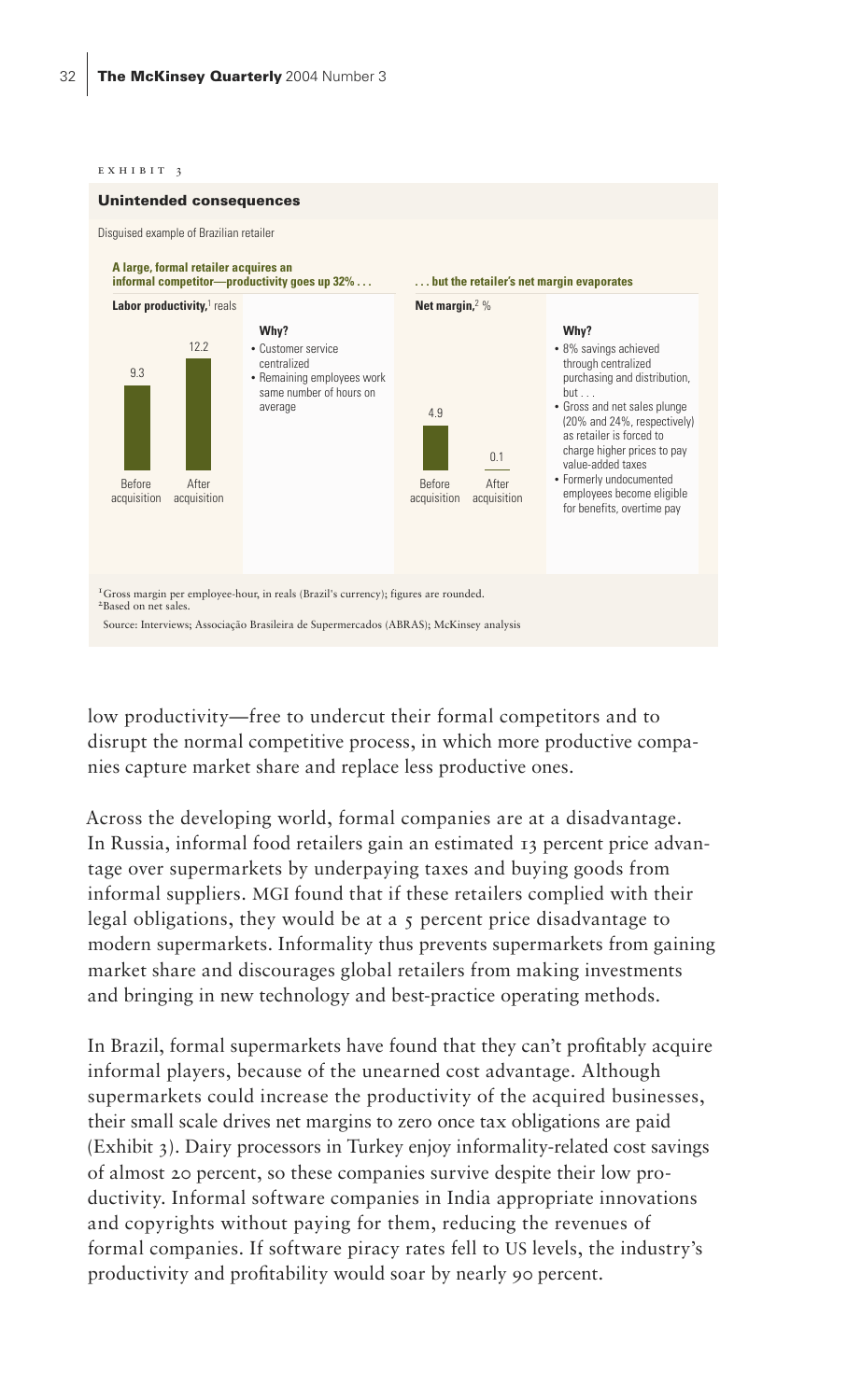EXHIBIT 3



low productivity—free to undercut their formal competitors and to disrupt the normal competitive process, in which more productive companies capture market share and replace less productive ones.

Across the developing world, formal companies are at a disadvantage. In Russia, informal food retailers gain an estimated 13 percent price advantage over supermarkets by underpaying taxes and buying goods from informal suppliers. MGI found that if these retailers complied with their legal obligations, they would be at a 5 percent price disadvantage to modern supermarkets. Informality thus prevents supermarkets from gaining market share and discourages global retailers from making investments and bringing in new technology and best-practice operating methods.

In Brazil, formal supermarkets have found that they can't profitably acquire informal players, because of the unearned cost advantage. Although supermarkets could increase the productivity of the acquired businesses, their small scale drives net margins to zero once tax obligations are paid (Exhibit 3). Dairy processors in Turkey enjoy informality-related cost savings of almost 20 percent, so these companies survive despite their low productivity. Informal software companies in India appropriate innovations and copyrights without paying for them, reducing the revenues of formal companies. If software piracy rates fell to US levels, the industry's productivity and profitability would soar by nearly 90 percent.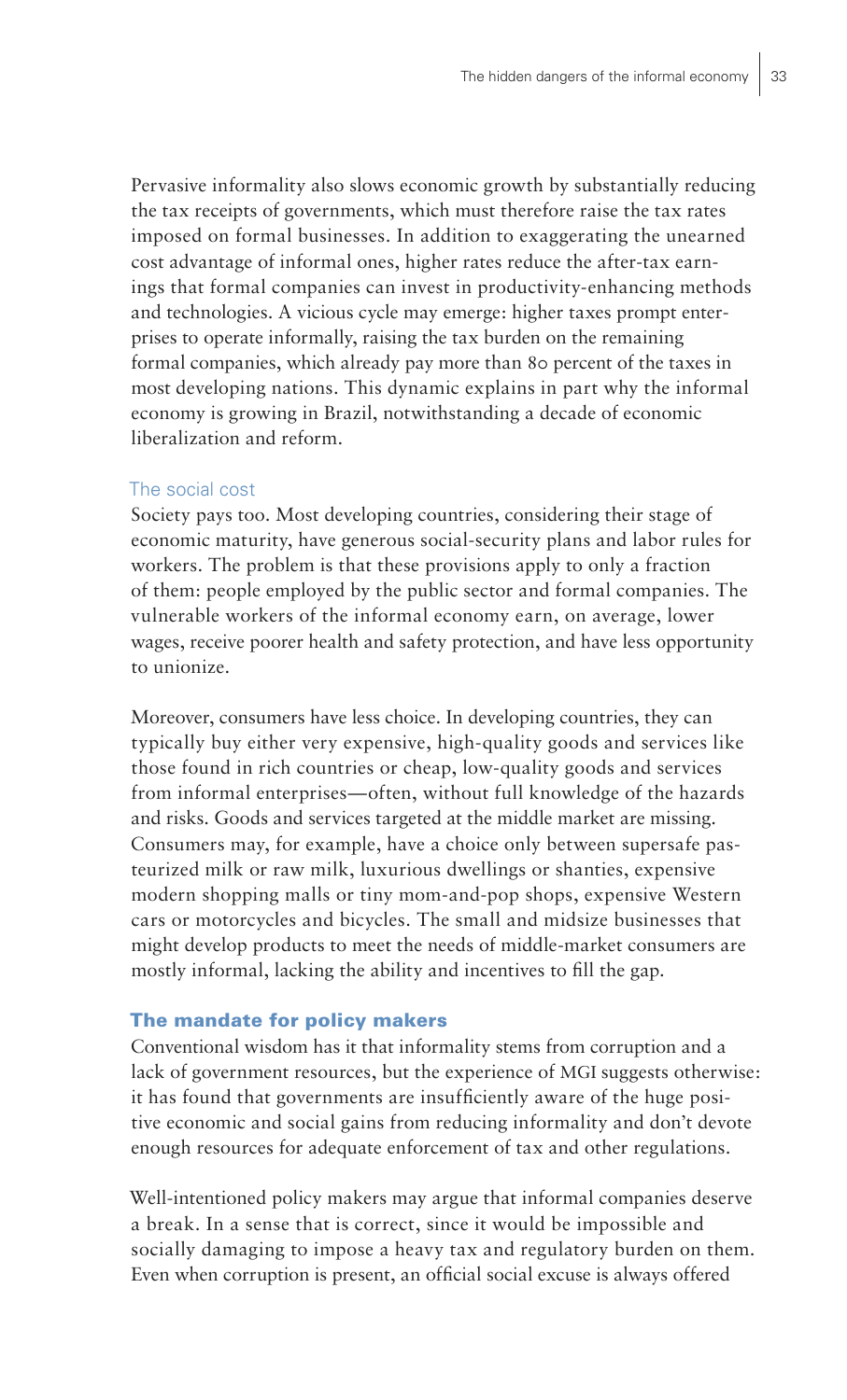Pervasive informality also slows economic growth by substantially reducing the tax receipts of governments, which must therefore raise the tax rates imposed on formal businesses. In addition to exaggerating the unearned cost advantage of informal ones, higher rates reduce the after-tax earnings that formal companies can invest in productivity-enhancing methods and technologies. A vicious cycle may emerge: higher taxes prompt enterprises to operate informally, raising the tax burden on the remaining formal companies, which already pay more than 80 percent of the taxes in most developing nations. This dynamic explains in part why the informal economy is growing in Brazil, notwithstanding a decade of economic liberalization and reform.

# The social cost

Society pays too. Most developing countries, considering their stage of economic maturity, have generous social-security plans and labor rules for workers. The problem is that these provisions apply to only a fraction of them: people employed by the public sector and formal companies. The vulnerable workers of the informal economy earn, on average, lower wages, receive poorer health and safety protection, and have less opportunity to unionize.

Moreover, consumers have less choice. In developing countries, they can typically buy either very expensive, high-quality goods and services like those found in rich countries or cheap, low-quality goods and services from informal enterprises—often, without full knowledge of the hazards and risks. Goods and services targeted at the middle market are missing. Consumers may, for example, have a choice only between supersafe pasteurized milk or raw milk, luxurious dwellings or shanties, expensive modern shopping malls or tiny mom-and-pop shops, expensive Western cars or motorcycles and bicycles. The small and midsize businesses that might develop products to meet the needs of middle-market consumers are mostly informal, lacking the ability and incentives to fill the gap.

### The mandate for policy makers

Conventional wisdom has it that informality stems from corruption and a lack of government resources, but the experience of MGI suggests otherwise: it has found that governments are insufficiently aware of the huge positive economic and social gains from reducing informality and don't devote enough resources for adequate enforcement of tax and other regulations.

Well-intentioned policy makers may argue that informal companies deserve a break. In a sense that is correct, since it would be impossible and socially damaging to impose a heavy tax and regulatory burden on them. Even when corruption is present, an official social excuse is always offered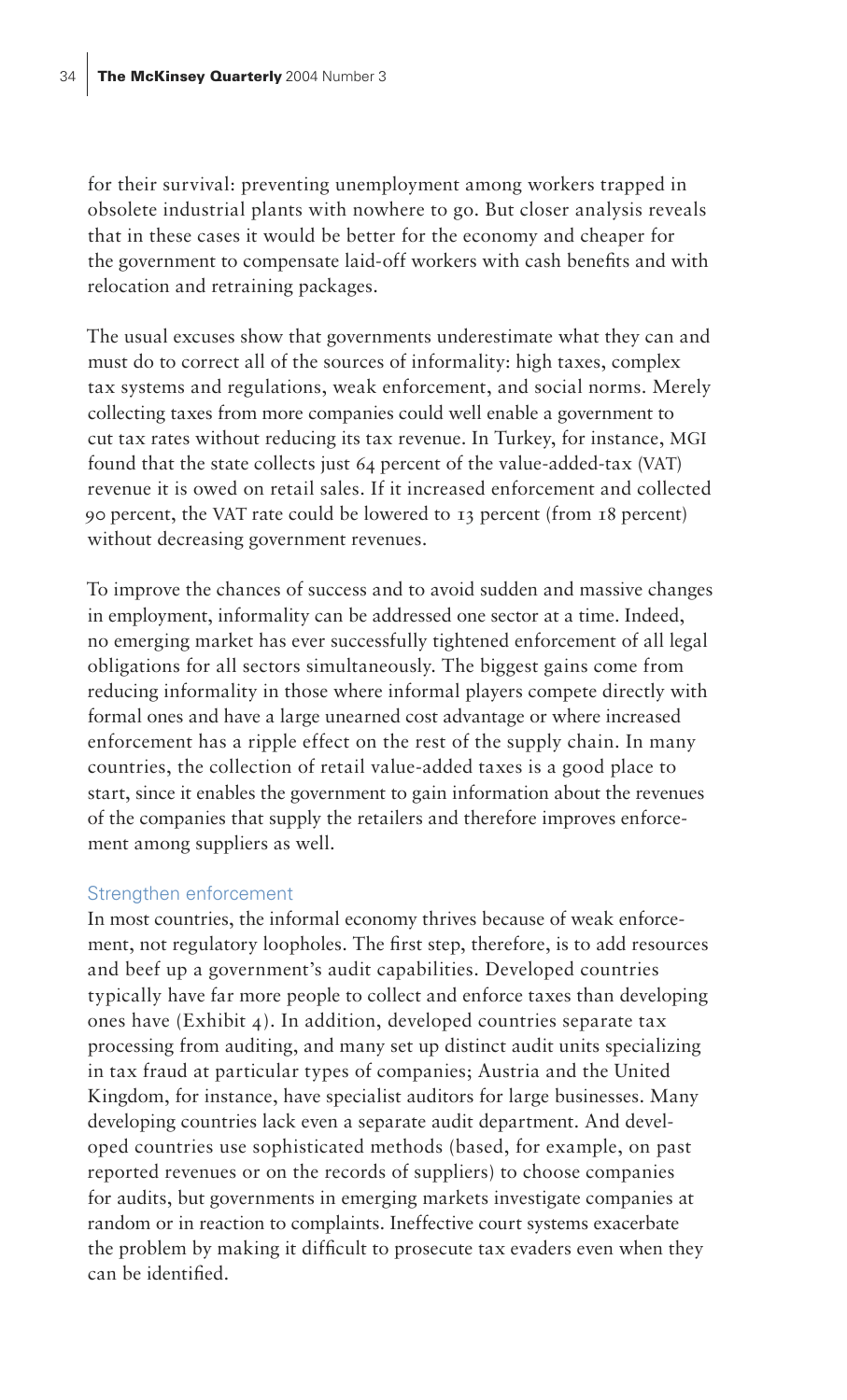for their survival: preventing unemployment among workers trapped in obsolete industrial plants with nowhere to go. But closer analysis reveals that in these cases it would be better for the economy and cheaper for the government to compensate laid-off workers with cash benefits and with relocation and retraining packages.

The usual excuses show that governments underestimate what they can and must do to correct all of the sources of informality: high taxes, complex tax systems and regulations, weak enforcement, and social norms. Merely collecting taxes from more companies could well enable a government to cut tax rates without reducing its tax revenue. In Turkey, for instance, MGI found that the state collects just 64 percent of the value-added-tax (VAT) revenue it is owed on retail sales. If it increased enforcement and collected 90 percent, the VAT rate could be lowered to 13 percent (from 18 percent) without decreasing government revenues.

To improve the chances of success and to avoid sudden and massive changes in employment, informality can be addressed one sector at a time. Indeed, no emerging market has ever successfully tightened enforcement of all legal obligations for all sectors simultaneously. The biggest gains come from reducing informality in those where informal players compete directly with formal ones and have a large unearned cost advantage or where increased enforcement has a ripple effect on the rest of the supply chain. In many countries, the collection of retail value-added taxes is a good place to start, since it enables the government to gain information about the revenues of the companies that supply the retailers and therefore improves enforcement among suppliers as well.

# Strengthen enforcement

In most countries, the informal economy thrives because of weak enforcement, not regulatory loopholes. The first step, therefore, is to add resources and beef up a government's audit capabilities. Developed countries typically have far more people to collect and enforce taxes than developing ones have (Exhibit 4). In addition, developed countries separate tax processing from auditing, and many set up distinct audit units specializing in tax fraud at particular types of companies; Austria and the United Kingdom, for instance, have specialist auditors for large businesses. Many developing countries lack even a separate audit department. And developed countries use sophisticated methods (based, for example, on past reported revenues or on the records of suppliers) to choose companies for audits, but governments in emerging markets investigate companies at random or in reaction to complaints. Ineffective court systems exacerbate the problem by making it difficult to prosecute tax evaders even when they can be identified.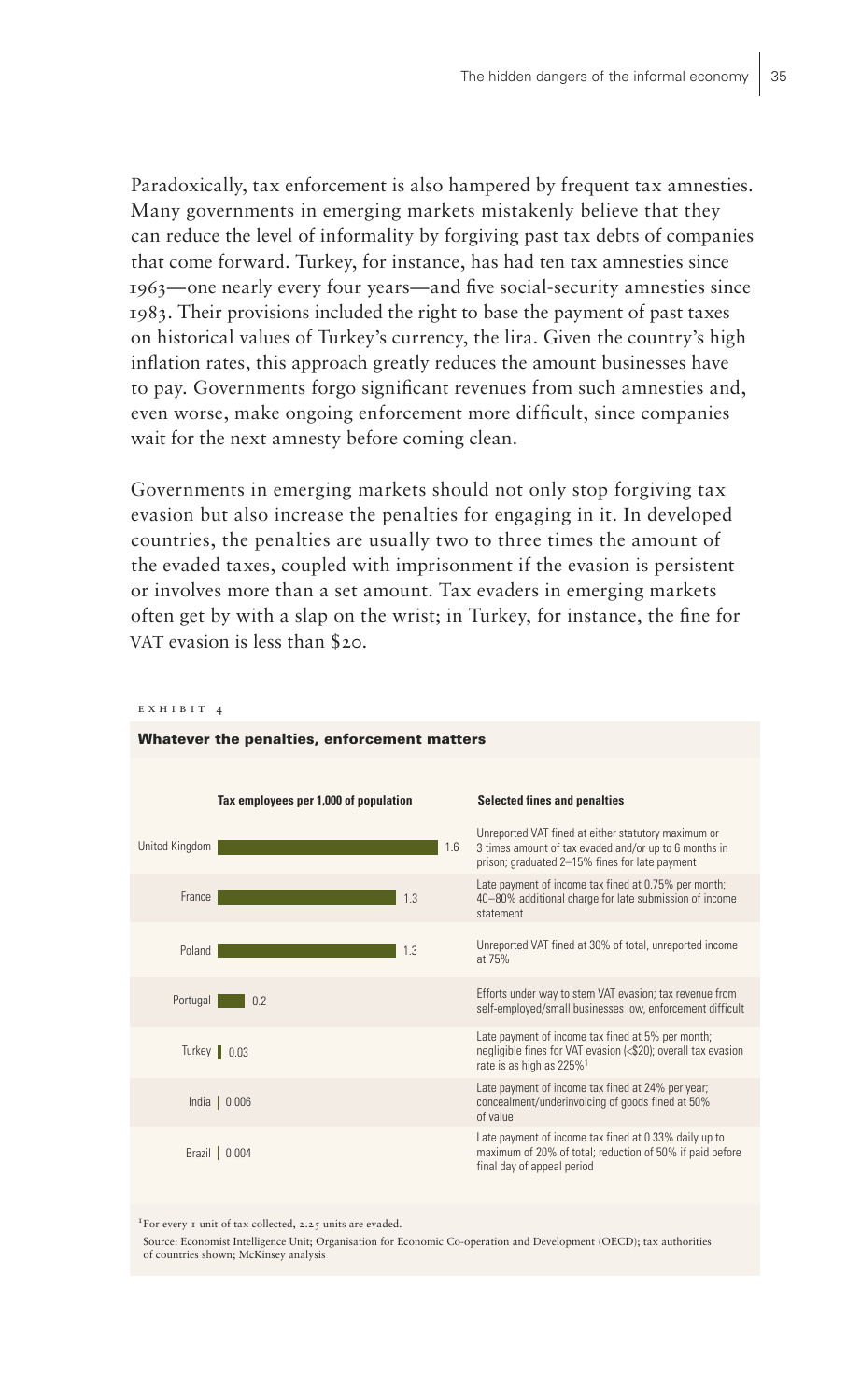Paradoxically, tax enforcement is also hampered by frequent tax amnesties. Many governments in emerging markets mistakenly believe that they can reduce the level of informality by forgiving past tax debts of companies that come forward. Turkey, for instance, has had ten tax amnesties since 1963—one nearly every four years—and five social-security amnesties since 1983. Their provisions included the right to base the payment of past taxes on historical values of Turkey's currency, the lira. Given the country's high inflation rates, this approach greatly reduces the amount businesses have to pay. Governments forgo significant revenues from such amnesties and, even worse, make ongoing enforcement more difficult, since companies wait for the next amnesty before coming clean.

Governments in emerging markets should not only stop forgiving tax evasion but also increase the penalties for engaging in it. In developed countries, the penalties are usually two to three times the amount of the evaded taxes, coupled with imprisonment if the evasion is persistent or involves more than a set amount. Tax evaders in emerging markets often get by with a slap on the wrist; in Turkey, for instance, the fine for VAT evasion is less than \$20.



EXHIBIT 4

<sup>1</sup>For every 1 unit of tax collected, 2.25 units are evaded.

Source: Economist Intelligence Unit; Organisation for Economic Co-operation and Development (OECD); tax authorities of countries shown; McKinsey analysis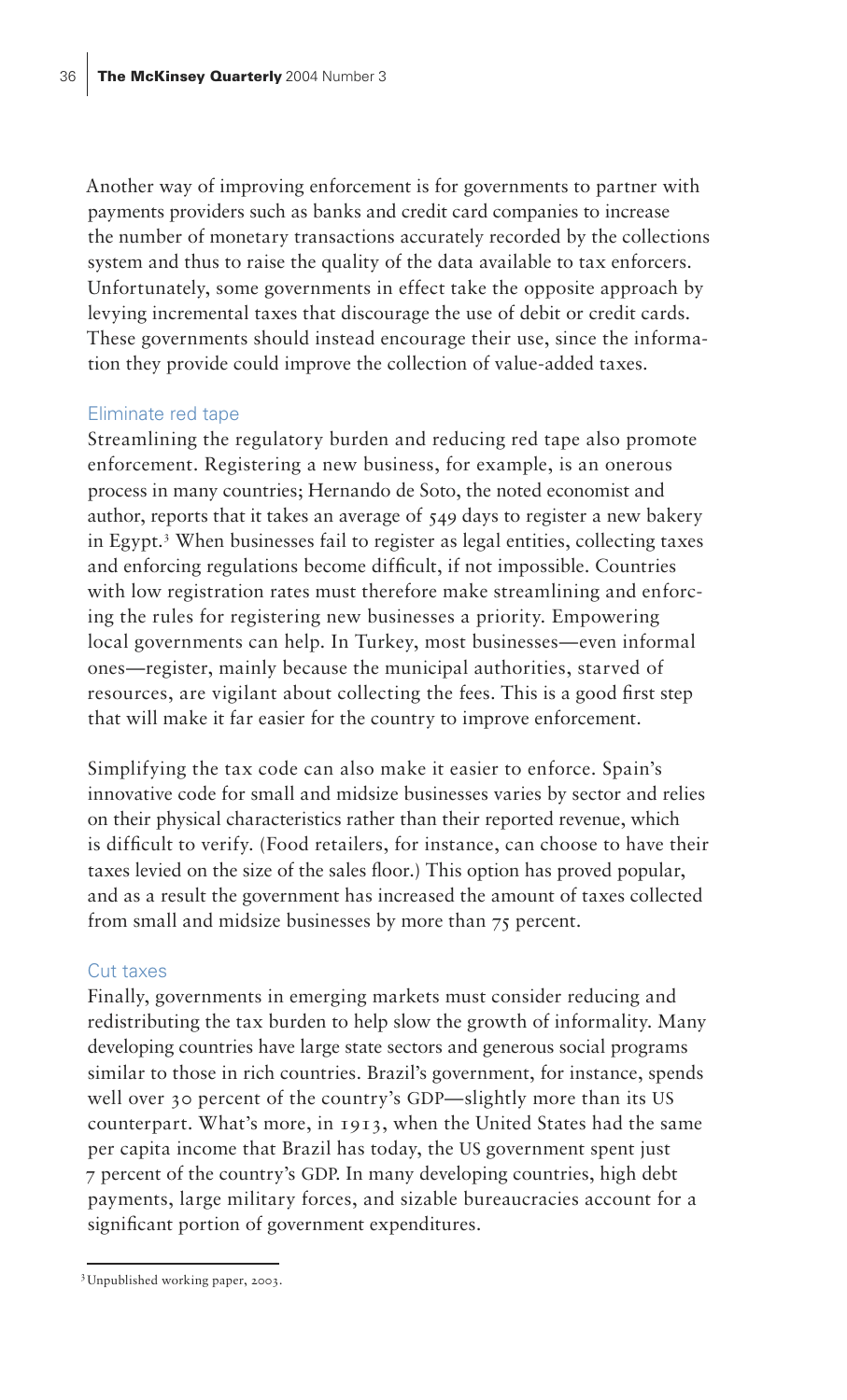Another way of improving enforcement is for governments to partner with payments providers such as banks and credit card companies to increase the number of monetary transactions accurately recorded by the collections system and thus to raise the quality of the data available to tax enforcers. Unfortunately, some governments in effect take the opposite approach by levying incremental taxes that discourage the use of debit or credit cards. These governments should instead encourage their use, since the information they provide could improve the collection of value-added taxes.

# Eliminate red tape

Streamlining the regulatory burden and reducing red tape also promote enforcement. Registering a new business, for example, is an onerous process in many countries; Hernando de Soto, the noted economist and author, reports that it takes an average of 549 days to register a new bakery in Egypt.<sup>3</sup> When businesses fail to register as legal entities, collecting taxes and enforcing regulations become difficult, if not impossible. Countries with low registration rates must therefore make streamlining and enforcing the rules for registering new businesses a priority. Empowering local governments can help. In Turkey, most businesses—even informal ones—register, mainly because the municipal authorities, starved of resources, are vigilant about collecting the fees. This is a good first step that will make it far easier for the country to improve enforcement.

Simplifying the tax code can also make it easier to enforce. Spain's innovative code for small and midsize businesses varies by sector and relies on their physical characteristics rather than their reported revenue, which is difficult to verify. (Food retailers, for instance, can choose to have their taxes levied on the size of the sales floor.) This option has proved popular, and as a result the government has increased the amount of taxes collected from small and midsize businesses by more than 75 percent.

# Cut taxes

Finally, governments in emerging markets must consider reducing and redistributing the tax burden to help slow the growth of informality. Many developing countries have large state sectors and generous social programs similar to those in rich countries. Brazil's government, for instance, spends well over 30 percent of the country's GDP-slightly more than its US counterpart. What's more, in 1913, when the United States had the same per capita income that Brazil has today, the US government spent just 7 percent of the country's GDP. In many developing countries, high debt payments, large military forces, and sizable bureaucracies account for a significant portion of government expenditures.

<sup>3</sup>Unpublished working paper, 2003.